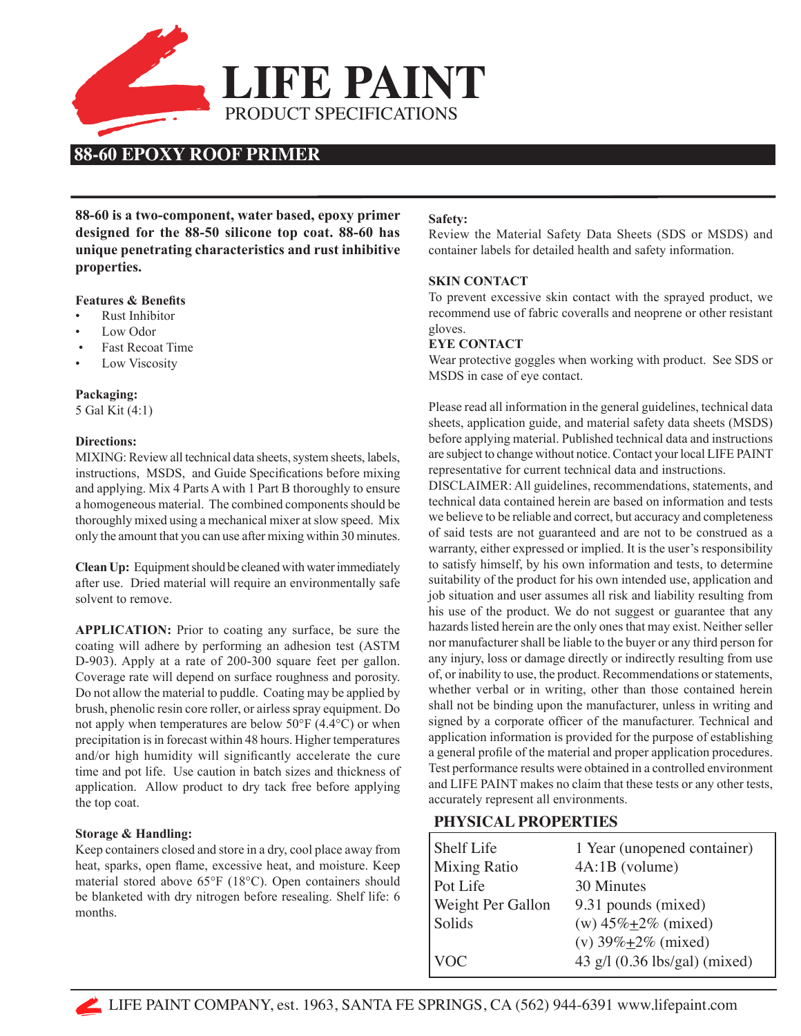

# **88-60 EPOXY ROOF PRIMER**

**88-60 is a two-component, water based, epoxy primer designed for the 88-50 silicone top coat. 88-60 has unique penetrating characteristics and rust inhibitive properties.**

#### **Features & Benefits**

- Rust Inhibitor
- Low Odor
- **Fast Recoat Time**
- Low Viscosity

### **Packaging:**

5 Gal Kit (4:1)

#### **Directions:**

MIXING: Review all technical data sheets, system sheets, labels, instructions, MSDS, and Guide Specifications before mixing and applying. Mix 4 Parts A with 1 Part B thoroughly to ensure a homogeneous material. The combined components should be thoroughly mixed using a mechanical mixer at slow speed. Mix only the amount that you can use after mixing within 30 minutes.

**Clean Up:** Equipment should be cleaned with water immediately after use. Dried material will require an environmentally safe solvent to remove.

**APPLICATION:** Prior to coating any surface, be sure the coating will adhere by performing an adhesion test (ASTM D-903). Apply at a rate of 200-300 square feet per gallon. Coverage rate will depend on surface roughness and porosity. Do not allow the material to puddle. Coating may be applied by brush, phenolic resin core roller, or airless spray equipment. Do not apply when temperatures are below 50°F (4.4°C) or when precipitation is in forecast within 48 hours. Higher temperatures and/or high humidity will significantly accelerate the cure time and pot life. Use caution in batch sizes and thickness of application. Allow product to dry tack free before applying the top coat.

#### **Storage & Handling:**

Keep containers closed and store in a dry, cool place away from heat, sparks, open flame, excessive heat, and moisture. Keep material stored above 65°F (18°C). Open containers should be blanketed with dry nitrogen before resealing. Shelf life: 6 months.

#### **Safety:**

Review the Material Safety Data Sheets (SDS or MSDS) and container labels for detailed health and safety information.

#### **SKIN CONTACT**

To prevent excessive skin contact with the sprayed product, we recommend use of fabric coveralls and neoprene or other resistant gloves.

#### **EYE CONTACT**

Wear protective goggles when working with product. See SDS or MSDS in case of eye contact.

Please read all information in the general guidelines, technical data sheets, application guide, and material safety data sheets (MSDS) before applying material. Published technical data and instructions are subject to change without notice. Contact your local LIFE PAINT representative for current technical data and instructions.

DISCLAIMER: All guidelines, recommendations, statements, and technical data contained herein are based on information and tests we believe to be reliable and correct, but accuracy and completeness of said tests are not guaranteed and are not to be construed as a warranty, either expressed or implied. It is the user's responsibility to satisfy himself, by his own information and tests, to determine suitability of the product for his own intended use, application and job situation and user assumes all risk and liability resulting from his use of the product. We do not suggest or guarantee that any hazards listed herein are the only ones that may exist. Neither seller nor manufacturer shall be liable to the buyer or any third person for any injury, loss or damage directly or indirectly resulting from use of, or inability to use, the product. Recommendations or statements, whether verbal or in writing, other than those contained herein shall not be binding upon the manufacturer, unless in writing and signed by a corporate officer of the manufacturer. Technical and application information is provided for the purpose of establishing a general profile of the material and proper application procedures. Test performance results were obtained in a controlled environment and LIFE PAINT makes no claim that these tests or any other tests, accurately represent all environments.

## **PHYSICAL PROPERTIES**

| Shelf Life          | 1 Year (unopened container)        |
|---------------------|------------------------------------|
| <b>Mixing Ratio</b> | 4A:1B (volume)                     |
| Pot Life            | 30 Minutes                         |
| Weight Per Gallon   | 9.31 pounds (mixed)                |
| Solids              | (w) $45\% + 2\%$ (mixed)           |
|                     | (v) $39\% \pm 2\%$ (mixed)         |
| VOC.                | 43 g/l $(0.36$ lbs/gal $)$ (mixed) |